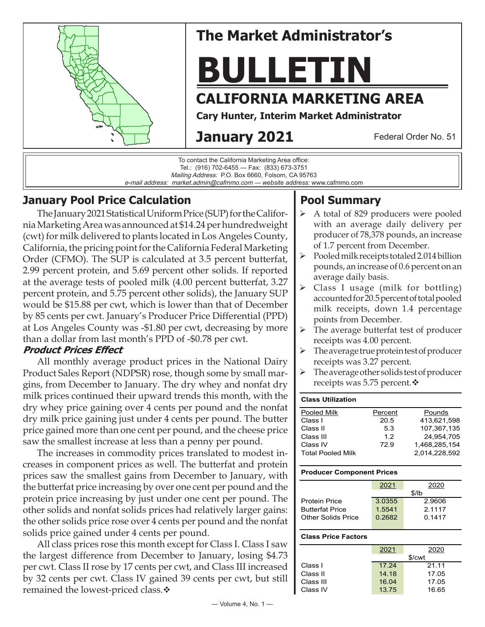

# **The Market Administrator's**

# **BULLETIN**

## **CALIFORNIA MARKETING AREA**

**Cary Hunter, Interim Market Administrator**

# **January 2021**

Federal Order No. 51



## **January Pool Price Calculation**

The January 2021 Statistical Uniform Price (SUP) for the California Marketing Area was announced at \$14.24 per hundredweight (cwt) for milk delivered to plants located in Los Angeles County, California, the pricing point for the California Federal Marketing Order (CFMO). The SUP is calculated at 3.5 percent butterfat, 2.99 percent protein, and 5.69 percent other solids. If reported at the average tests of pooled milk (4.00 percent butterfat, 3.27 percent protein, and 5.75 percent other solids), the January SUP would be \$15.88 per cwt, which is lower than that of December by 85 cents per cwt. January's Producer Price Differential (PPD) at Los Angeles County was -\$1.80 per cwt, decreasing by more than a dollar from last month's PPD of -\$0.78 per cwt.

#### **Product Prices Effect**

All monthly average product prices in the National Dairy Product Sales Report (NDPSR) rose, though some by small margins, from December to January. The dry whey and nonfat dry milk prices continued their upward trends this month, with the dry whey price gaining over 4 cents per pound and the nonfat dry milk price gaining just under 4 cents per pound. The butter price gained more than one cent per pound, and the cheese price saw the smallest increase at less than a penny per pound.

The increases in commodity prices translated to modest increases in component prices as well. The butterfat and protein prices saw the smallest gains from December to January, with the butterfat price increasing by over one cent per pound and the protein price increasing by just under one cent per pound. The other solids and nonfat solids prices had relatively larger gains: the other solids price rose over 4 cents per pound and the nonfat solids price gained under 4 cents per pound.

All class prices rose this month except for Class I. Class I saw the largest difference from December to January, losing \$4.73 per cwt. Class II rose by 17 cents per cwt, and Class III increased by 32 cents per cwt. Class IV gained 39 cents per cwt, but still remained the lowest-priced class. $\cdot$ 

## **Pool Summary**

- A total of 829 producers were pooled with an average daily delivery per producer of 78,378 pounds, an increase of 1.7 percent from December.
- $\triangleright$  Pooled milk receipts totaled 2.014 billion pounds, an increase of 0.6 percent on an average daily basis.
- $\triangleright$  Class I usage (milk for bottling) accounted for 20.5 percent of total pooled milk receipts, down 1.4 percentage points from December.
- $\triangleright$  The average butterfat test of producer receipts was 4.00 percent.
- $\triangleright$  The average true protein test of producer receipts was 3.27 percent.
- $\triangleright$  The average other solids test of producer receipts was 5.75 percent. $\mathbf{\hat{*}}$

# **Class Utilization**

| Pooled Milk              | Percent | Pounds        |
|--------------------------|---------|---------------|
| Class I                  | 20.5    | 413.621.598   |
| Class II                 | 53      | 107.367.135   |
| Class III                | 1.2     | 24.954.705    |
| Class IV                 | 72.9    | 1.468.285.154 |
| <b>Total Pooled Milk</b> |         | 2.014.228.592 |

#### **Producer Component Prices**

|                           | 2021   | 2020   |  |
|---------------------------|--------|--------|--|
|                           | \$/lb  |        |  |
| <b>Protein Price</b>      | 3.0355 | 2.9606 |  |
| <b>Butterfat Price</b>    | 1.5541 | 2.1117 |  |
| <b>Other Solids Price</b> | 0.2682 | 0.1417 |  |
|                           |        |        |  |

#### **Class Price Factors**

|           | 2021   | 2020  |  |
|-----------|--------|-------|--|
|           | \$/cwt |       |  |
| Class I   | 17.24  | 21.11 |  |
| Class II  | 14.18  | 17.05 |  |
| Class III | 16.04  | 17.05 |  |
| Class IV  | 13.75  | 16.65 |  |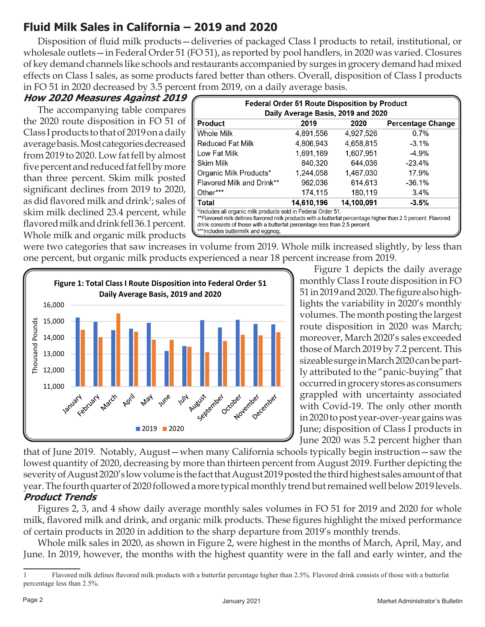## **Fluid Milk Sales in California – 2019 and 2020**

Disposition of fluid milk products—deliveries of packaged Class I products to retail, institutional, or wholesale outlets—in Federal Order 51 (FO 51), as reported by pool handlers, in 2020 was varied. Closures of key demand channels like schools and restaurants accompanied by surges in grocery demand had mixed effects on Class I sales, as some products fared better than others. Overall, disposition of Class I products in FO 51 in 2020 decreased by 3.5 percent from 2019, on a daily average basis.

#### **How 2020 Measures Against 2019**

The accompanying table compares the 2020 route disposition in FO 51 of Class I products to that of 2019 on a daily average basis. Most categories decreased from 2019 to 2020. Low fat fell by almost five percent and reduced fat fell by more than three percent. Skim milk posted significant declines from 2019 to 2020, as did flavored milk and drink<sup>1</sup>; sales of skim milk declined 23.4 percent, while flavored milk and drink fell 36.1 percent. Whole milk and organic milk products

| <b>Federal Order 51 Route Disposition by Product</b><br>Daily Average Basis, 2019 and 2020                                                                                                                                                                                                        |            |            |          |  |  |  |
|---------------------------------------------------------------------------------------------------------------------------------------------------------------------------------------------------------------------------------------------------------------------------------------------------|------------|------------|----------|--|--|--|
| 2019<br><b>Product</b><br>2020<br><b>Percentage Change</b>                                                                                                                                                                                                                                        |            |            |          |  |  |  |
| Whole Milk                                                                                                                                                                                                                                                                                        | 4.891.556  | 4.927.526  | 0.7%     |  |  |  |
| <b>Reduced Fat Milk</b>                                                                                                                                                                                                                                                                           | 4,806,943  | 4.658.815  | $-3.1\%$ |  |  |  |
| Low Fat Milk                                                                                                                                                                                                                                                                                      | 1,691,169  | 1.607.951  | $-4.9\%$ |  |  |  |
| Skim Milk                                                                                                                                                                                                                                                                                         | 840,320    | 644.036    | -23.4%   |  |  |  |
| Organic Milk Products*                                                                                                                                                                                                                                                                            | 1,244,058  | 1,467,030  | 17.9%    |  |  |  |
| Flavored Milk and Drink**                                                                                                                                                                                                                                                                         | 962,036    | 614,613    | -36.1%   |  |  |  |
| Other***                                                                                                                                                                                                                                                                                          | 174.115    | 180,119    | $3.4\%$  |  |  |  |
| Total                                                                                                                                                                                                                                                                                             | 14,610,196 | 14,100,091 | $-3.5%$  |  |  |  |
| *Includes all organic milk products sold in Federal Order 51.<br>**Flavored milk defines flavored milk products with a butterfat percentage higher than 2.5 percent. Flavored<br>drink consists of those with a butterfat percentage less than 2.5 percent.<br>***Includes buttermilk and eggnog. |            |            |          |  |  |  |

were two categories that saw increases in volume from 2019. Whole milk increased slightly, by less than one percent, but organic milk products experienced a near 18 percent increase from 2019.



Figure 1 depicts the daily average monthly Class I route disposition in FO 51 in 2019 and 2020. The figure also highlights the variability in 2020's monthly volumes. The month posting the largest route disposition in 2020 was March; moreover, March 2020's sales exceeded those of March 2019 by 7.2 percent. This sizeable surge in March 2020 can be partly attributed to the "panic-buying" that occurred in grocery stores as consumers grappled with uncertainty associated with Covid-19. The only other month in 2020 to post year-over-year gains was June; disposition of Class I products in June 2020 was 5.2 percent higher than

that of June 2019. Notably, August—when many California schools typically begin instruction—saw the lowest quantity of 2020, decreasing by more than thirteen percent from August 2019. Further depicting the severity of August 2020's low volume is the fact that August 2019 posted the third highest sales amount of that year. The fourth quarter of 2020 followed a more typical monthly trend but remained well below 2019 levels. **Product Trends**

Figures 2, 3, and 4 show daily average monthly sales volumes in FO 51 for 2019 and 2020 for whole milk, flavored milk and drink, and organic milk products. These figures highlight the mixed performance of certain products in 2020 in addition to the sharp departure from 2019's monthly trends.

Whole milk sales in 2020, as shown in Figure 2, were highest in the months of March, April, May, and June. In 2019, however, the months with the highest quantity were in the fall and early winter, and the

Flavored milk defines flavored milk products with a butterfat percentage higher than 2.5%. Flavored drink consists of those with a butterfat percentage less than 2.5%.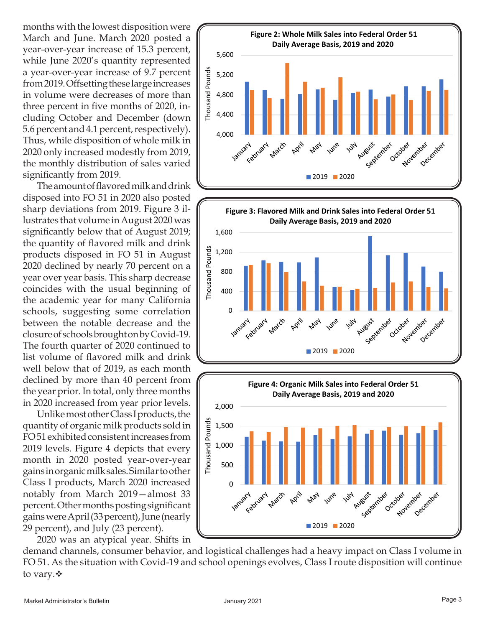months with the lowest disposition were March and June. March 2020 posted a year-over-year increase of 15.3 percent, while June 2020's quantity represented a year-over-year increase of 9.7 percent from 2019. Offsetting these large increases in volume were decreases of more than three percent in five months of 2020, including October and December (down 5.6 percent and 4.1 percent, respectively). Thus, while disposition of whole milk in 2020 only increased modestly from 2019, the monthly distribution of sales varied significantly from 2019.

The amount of flavored milk and drink disposed into FO 51 in 2020 also posted sharp deviations from 2019. Figure 3 illustrates that volume in August 2020 was significantly below that of August 2019; the quantity of flavored milk and drink products disposed in FO 51 in August 2020 declined by nearly 70 percent on a year over year basis. This sharp decrease coincides with the usual beginning of the academic year for many California schools, suggesting some correlation between the notable decrease and the closure of schools brought on by Covid-19. The fourth quarter of 2020 continued to list volume of flavored milk and drink well below that of 2019, as each month declined by more than 40 percent from the year prior. In total, only three months in 2020 increased from year prior levels.

Unlike most other Class I products, the quantity of organic milk products sold in FO 51 exhibited consistent increases from 2019 levels. Figure 4 depicts that every month in 2020 posted year-over-year gains in organic milk sales. Similar to other Class I products, March 2020 increased notably from March 2019—almost 33 percent. Other months posting significant gains were April (33 percent), June (nearly 29 percent), and July (23 percent).

2020 was an atypical year. Shifts in demand channels, consumer behavior, and logistical challenges had a heavy impact on Class I volume in FO 51. As the situation with Covid-19 and school openings evolves, Class I route disposition will continue to vary. ❖